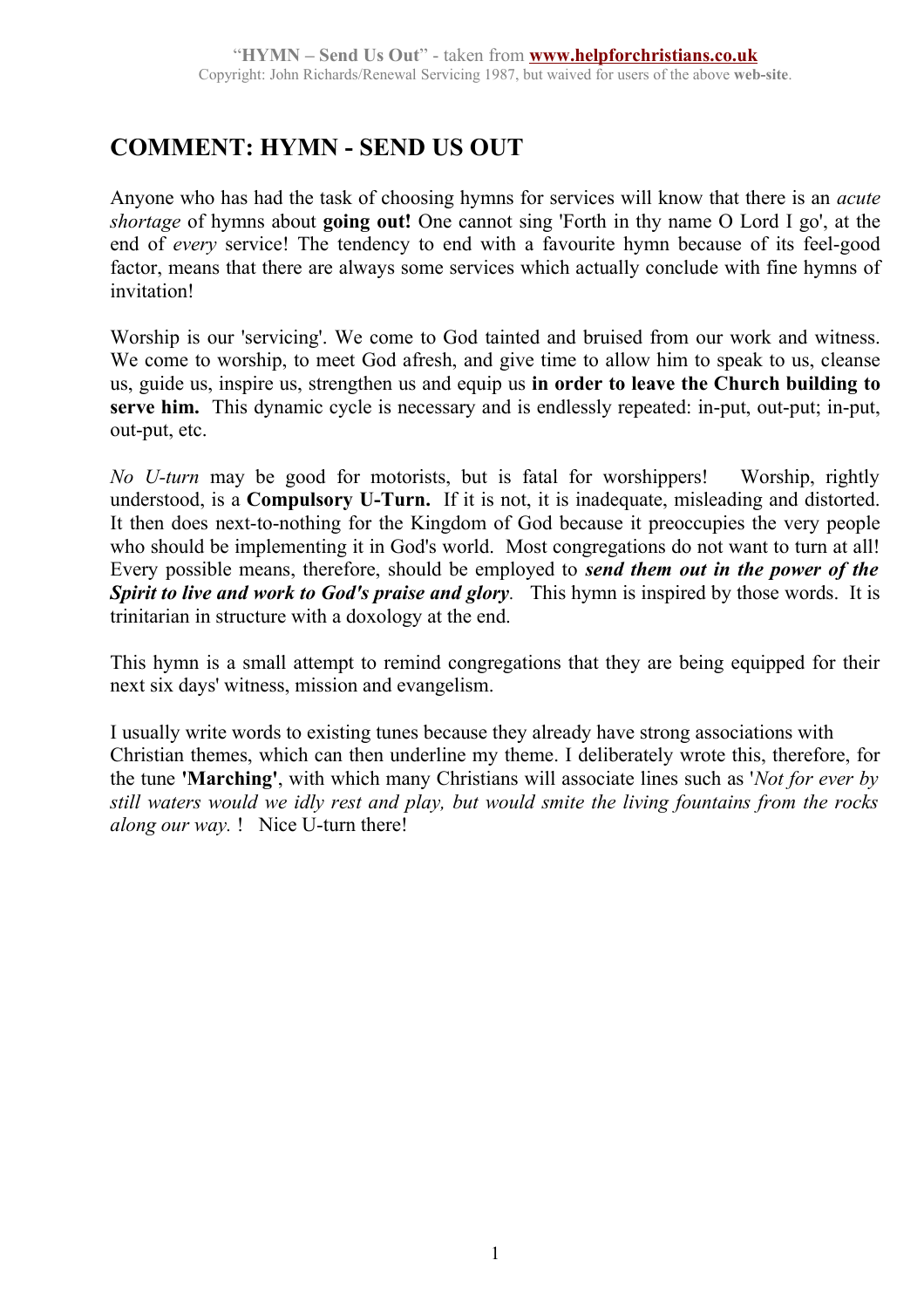## **COMMENT: HYMN - SEND US OUT**

Anyone who has had the task of choosing hymns for services will know that there is an *acute shortage* of hymns about **going out!** One cannot sing 'Forth in thy name O Lord I go', at the end of *every* service! The tendency to end with a favourite hymn because of its feel-good factor, means that there are always some services which actually conclude with fine hymns of invitation!

Worship is our 'servicing'. We come to God tainted and bruised from our work and witness. We come to worship, to meet God afresh, and give time to allow him to speak to us, cleanse us, guide us, inspire us, strengthen us and equip us **in order to leave the Church building to serve him.** This dynamic cycle is necessary and is endlessly repeated: in-put, out-put; in-put, out-put, etc.

*No U-turn* may be good for motorists, but is fatal for worshippers! Worship, rightly understood, is a **Compulsory U-Turn.** If it is not, it is inadequate, misleading and distorted. It then does next-to-nothing for the Kingdom of God because it preoccupies the very people who should be implementing it in God's world. Most congregations do not want to turn at all! Every possible means, therefore, should be employed to *send them out in the power of the Spirit to live and work to God's praise and glory.* This hymn is inspired by those words. It is trinitarian in structure with a doxology at the end.

This hymn is a small attempt to remind congregations that they are being equipped for their next six days' witness, mission and evangelism.

I usually write words to existing tunes because they already have strong associations with Christian themes, which can then underline my theme. I deliberately wrote this, therefore, for the tune **'Marching'**, with which many Christians will associate lines such as '*Not for ever by still waters would we idly rest and play, but would smite the living fountains from the rocks along our way.* ! Nice U-turn there!